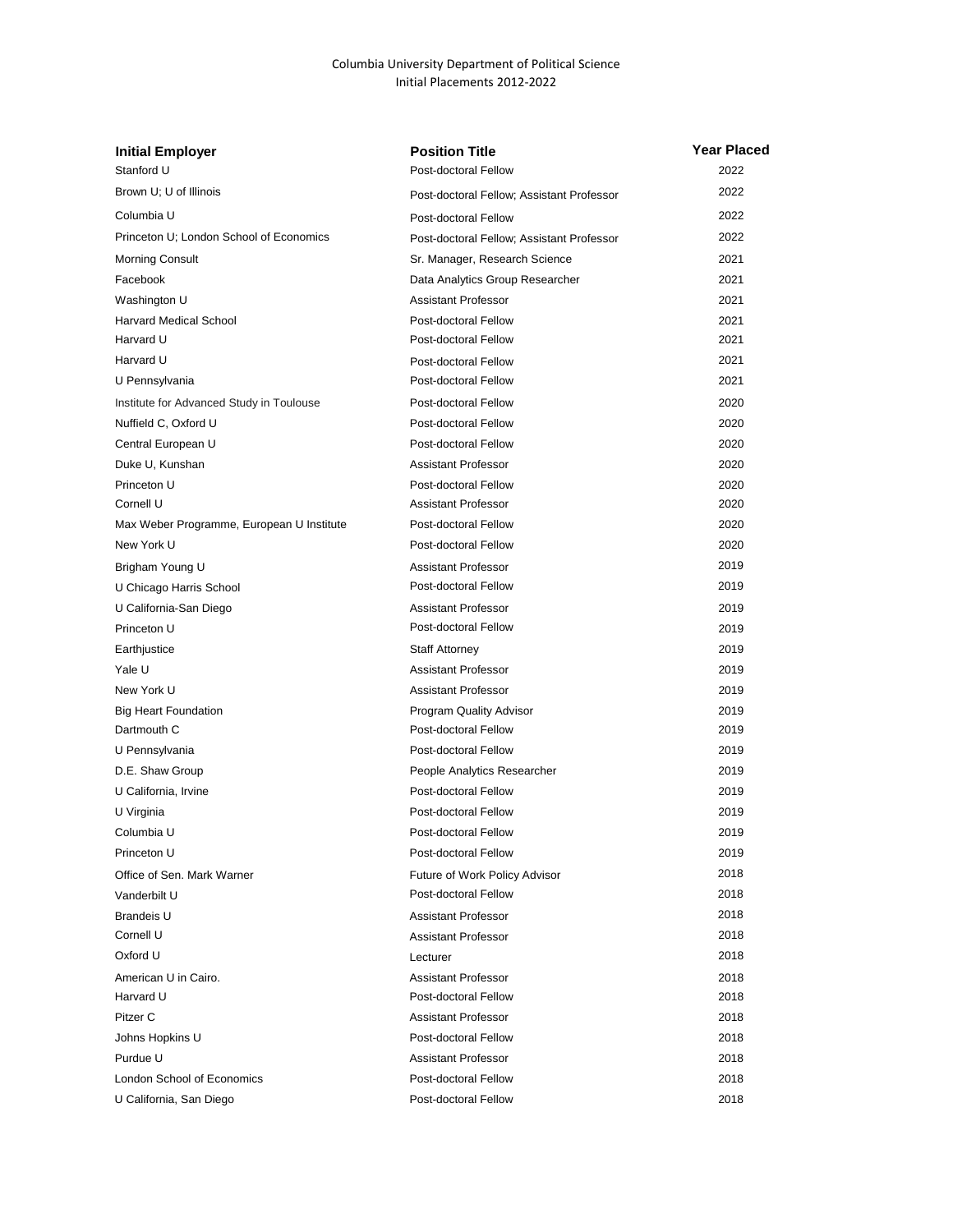## Columbia University Department of Political Science Initial Placements 2012-2022

| <b>Initial Employer</b>                   | <b>Position Title</b>                     | <b>Year Placed</b> |
|-------------------------------------------|-------------------------------------------|--------------------|
| Stanford U                                | Post-doctoral Fellow                      | 2022               |
| Brown U; U of Illinois                    | Post-doctoral Fellow; Assistant Professor | 2022               |
| Columbia U                                | Post-doctoral Fellow                      | 2022               |
| Princeton U; London School of Economics   | Post-doctoral Fellow; Assistant Professor | 2022               |
| <b>Morning Consult</b>                    | Sr. Manager, Research Science             | 2021               |
| Facebook                                  | Data Analytics Group Researcher           | 2021               |
| Washington U                              | <b>Assistant Professor</b>                | 2021               |
| <b>Harvard Medical School</b>             | Post-doctoral Fellow                      | 2021               |
| Harvard U                                 | Post-doctoral Fellow                      | 2021               |
| Harvard U                                 | Post-doctoral Fellow                      | 2021               |
| U Pennsylvania                            | Post-doctoral Fellow                      | 2021               |
| Institute for Advanced Study in Toulouse  | Post-doctoral Fellow                      | 2020               |
| Nuffield C, Oxford U                      | Post-doctoral Fellow                      | 2020               |
| Central European U                        | Post-doctoral Fellow                      | 2020               |
| Duke U, Kunshan                           | <b>Assistant Professor</b>                | 2020               |
| Princeton U                               | Post-doctoral Fellow                      | 2020               |
| Cornell U                                 | Assistant Professor                       | 2020               |
| Max Weber Programme, European U Institute | Post-doctoral Fellow                      | 2020               |
| New York U                                | Post-doctoral Fellow                      | 2020               |
| Brigham Young U                           | <b>Assistant Professor</b>                | 2019               |
| U Chicago Harris School                   | Post-doctoral Fellow                      | 2019               |
| U California-San Diego                    | <b>Assistant Professor</b>                | 2019               |
| Princeton U                               | Post-doctoral Fellow                      | 2019               |
| Earthjustice                              | <b>Staff Attorney</b>                     | 2019               |
| Yale U                                    | <b>Assistant Professor</b>                | 2019               |
| New York U                                | <b>Assistant Professor</b>                | 2019               |
| <b>Big Heart Foundation</b>               | Program Quality Advisor                   | 2019               |
| Dartmouth C                               | Post-doctoral Fellow                      | 2019               |
| U Pennsylvania                            | Post-doctoral Fellow                      | 2019               |
| D.E. Shaw Group                           | People Analytics Researcher               | 2019               |
| U California, Irvine                      | Post-doctoral Fellow                      | 2019               |
| U Virginia                                | Post-doctoral Fellow                      | 2019               |
| Columbia U                                | Post-doctoral Fellow                      | 2019               |
| Princeton U                               | Post-doctoral Fellow                      | 2019               |
| Office of Sen. Mark Warner                | Future of Work Policy Advisor             | 2018               |
| Vanderbilt U                              | Post-doctoral Fellow                      | 2018               |
| <b>Brandeis U</b>                         | <b>Assistant Professor</b>                | 2018               |
| Cornell U                                 | <b>Assistant Professor</b>                | 2018               |
| Oxford U                                  | Lecturer                                  | 2018               |
| American U in Cairo.                      | Assistant Professor                       | 2018               |
| Harvard U                                 | Post-doctoral Fellow                      | 2018               |
| Pitzer C                                  | <b>Assistant Professor</b>                | 2018               |
| Johns Hopkins U                           | Post-doctoral Fellow                      | 2018               |
| Purdue U                                  | <b>Assistant Professor</b>                | 2018               |
| London School of Economics                | Post-doctoral Fellow                      | 2018               |
| U California, San Diego                   | Post-doctoral Fellow                      | 2018               |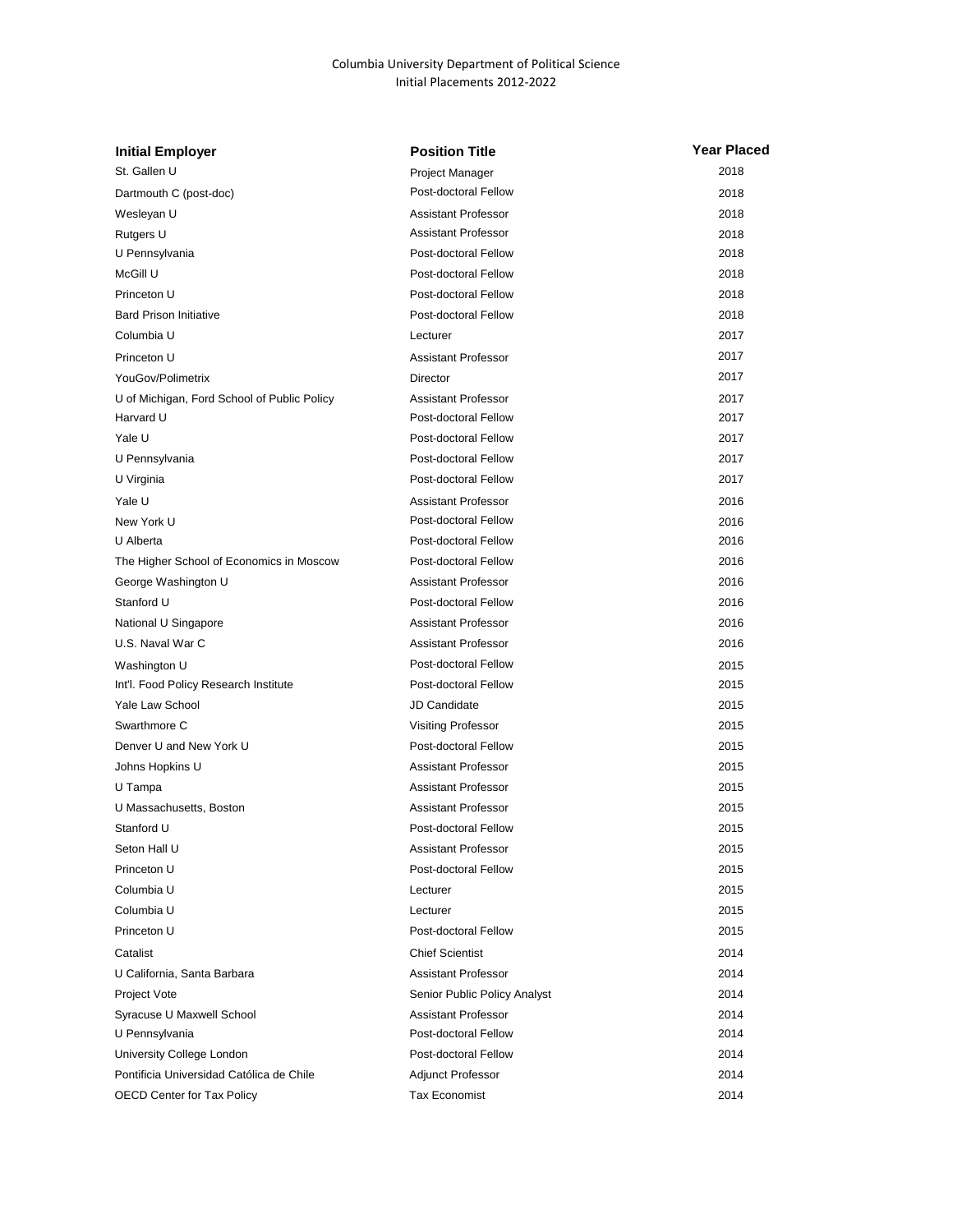## Columbia University Department of Political Science Initial Placements 2012-2022

| <b>Initial Employer</b>                     | <b>Position Title</b>        | Year Placed |
|---------------------------------------------|------------------------------|-------------|
| St. Gallen U                                | <b>Project Manager</b>       | 2018        |
| Dartmouth C (post-doc)                      | Post-doctoral Fellow         | 2018        |
| Wesleyan U                                  | <b>Assistant Professor</b>   | 2018        |
| Rutgers U                                   | <b>Assistant Professor</b>   | 2018        |
| U Pennsylvania                              | Post-doctoral Fellow         | 2018        |
| McGill U                                    | Post-doctoral Fellow         | 2018        |
| Princeton U                                 | Post-doctoral Fellow         | 2018        |
| <b>Bard Prison Initiative</b>               | Post-doctoral Fellow         | 2018        |
| Columbia U                                  | Lecturer                     | 2017        |
| Princeton U                                 | <b>Assistant Professor</b>   | 2017        |
| YouGov/Polimetrix                           | Director                     | 2017        |
| U of Michigan, Ford School of Public Policy | <b>Assistant Professor</b>   | 2017        |
| Harvard U                                   | Post-doctoral Fellow         | 2017        |
| Yale U                                      | Post-doctoral Fellow         | 2017        |
| U Pennsylvania                              | Post-doctoral Fellow         | 2017        |
| U Virginia                                  | Post-doctoral Fellow         | 2017        |
| Yale U                                      | <b>Assistant Professor</b>   | 2016        |
| New York U                                  | Post-doctoral Fellow         | 2016        |
| U Alberta                                   | Post-doctoral Fellow         | 2016        |
| The Higher School of Economics in Moscow    | Post-doctoral Fellow         | 2016        |
| George Washington U                         | <b>Assistant Professor</b>   | 2016        |
| Stanford U                                  | Post-doctoral Fellow         | 2016        |
| National U Singapore                        | Assistant Professor          | 2016        |
| U.S. Naval War C                            | <b>Assistant Professor</b>   | 2016        |
| Washington U                                | Post-doctoral Fellow         | 2015        |
| Int'l. Food Policy Research Institute       | Post-doctoral Fellow         | 2015        |
| Yale Law School                             | JD Candidate                 | 2015        |
| Swarthmore C                                | <b>Visiting Professor</b>    | 2015        |
| Denver U and New York U                     | Post-doctoral Fellow         | 2015        |
| Johns Hopkins U                             | Assistant Professor          | 2015        |
| U Tampa                                     | <b>Assistant Professor</b>   | 2015        |
| U Massachusetts, Boston                     | <b>Assistant Professor</b>   | 2015        |
| Stanford U                                  | Post-doctoral Fellow         | 2015        |
| Seton Hall U                                | Assistant Professor          | 2015        |
| Princeton U                                 | Post-doctoral Fellow         | 2015        |
| Columbia U                                  | Lecturer                     | 2015        |
| Columbia U                                  | Lecturer                     | 2015        |
| Princeton U                                 | Post-doctoral Fellow         | 2015        |
| Catalist                                    | <b>Chief Scientist</b>       | 2014        |
| U California, Santa Barbara                 | <b>Assistant Professor</b>   | 2014        |
| Project Vote                                | Senior Public Policy Analyst | 2014        |
| Syracuse U Maxwell School                   | Assistant Professor          | 2014        |
| U Pennsylvania                              | Post-doctoral Fellow         | 2014        |
| University College London                   | Post-doctoral Fellow         | 2014        |
| Pontificia Universidad Católica de Chile    | <b>Adjunct Professor</b>     | 2014        |
| <b>OECD Center for Tax Policy</b>           | Tax Economist                | 2014        |
|                                             |                              |             |